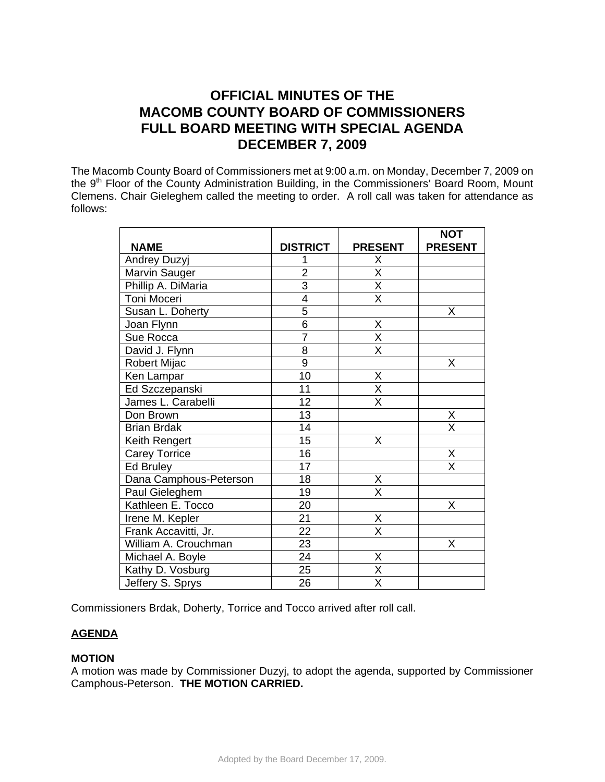# **OFFICIAL MINUTES OF THE MACOMB COUNTY BOARD OF COMMISSIONERS FULL BOARD MEETING WITH SPECIAL AGENDA DECEMBER 7, 2009**

The Macomb County Board of Commissioners met at 9:00 a.m. on Monday, December 7, 2009 on the 9<sup>th</sup> Floor of the County Administration Building, in the Commissioners' Board Room, Mount Clemens. Chair Gieleghem called the meeting to order. A roll call was taken for attendance as follows:

|                        |                 |                         | <b>NOT</b>              |
|------------------------|-----------------|-------------------------|-------------------------|
| <b>NAME</b>            | <b>DISTRICT</b> | <b>PRESENT</b>          | <b>PRESENT</b>          |
| <b>Andrey Duzyj</b>    | 1               | Χ                       |                         |
| Marvin Sauger          | $\overline{2}$  | $\overline{\mathsf{x}}$ |                         |
| Phillip A. DiMaria     | $\overline{3}$  | $\overline{X}$          |                         |
| Toni Moceri            | $\overline{4}$  | $\overline{\mathsf{x}}$ |                         |
| Susan L. Doherty       | $\overline{5}$  |                         | Χ                       |
| Joan Flynn             | $\overline{6}$  | X                       |                         |
| Sue Rocca              | $\overline{7}$  | $\overline{\mathsf{x}}$ |                         |
| David J. Flynn         | $\overline{8}$  | $\overline{\mathsf{x}}$ |                         |
| Robert Mijac           | 9               |                         | X                       |
| Ken Lampar             | 10              | X                       |                         |
| Ed Szczepanski         | 11              | $\overline{\mathsf{x}}$ |                         |
| James L. Carabelli     | 12              | $\overline{\mathsf{x}}$ |                         |
| Don Brown              | 13              |                         | Χ                       |
| <b>Brian Brdak</b>     | 14              |                         | $\overline{\mathsf{x}}$ |
| Keith Rengert          | $\overline{15}$ | $\overline{\mathsf{X}}$ |                         |
| <b>Carey Torrice</b>   | 16              |                         | Χ                       |
| Ed Bruley              | $\overline{17}$ |                         | $\overline{\mathsf{x}}$ |
| Dana Camphous-Peterson | 18              | X                       |                         |
| Paul Gieleghem         | 19              | $\overline{\mathsf{x}}$ |                         |
| Kathleen E. Tocco      | 20              |                         | Χ                       |
| Irene M. Kepler        | $\overline{21}$ | X                       |                         |
| Frank Accavitti, Jr.   | 22              | $\overline{\mathsf{x}}$ |                         |
| William A. Crouchman   | 23              |                         | Χ                       |
| Michael A. Boyle       | $\overline{24}$ | $\overline{X}$          |                         |
| Kathy D. Vosburg       | 25              | $\overline{\mathsf{x}}$ |                         |
| Jeffery S. Sprys       | $\overline{26}$ | $\overline{\mathsf{x}}$ |                         |

Commissioners Brdak, Doherty, Torrice and Tocco arrived after roll call.

# **AGENDA**

## **MOTION**

A motion was made by Commissioner Duzyj, to adopt the agenda, supported by Commissioner Camphous-Peterson. **THE MOTION CARRIED.**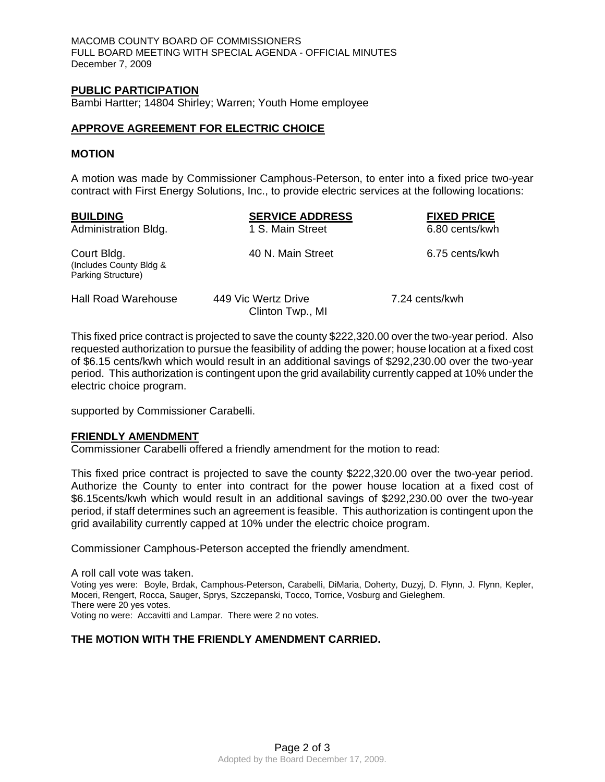MACOMB COUNTY BOARD OF COMMISSIONERS FULL BOARD MEETING WITH SPECIAL AGENDA - OFFICIAL MINUTES December 7, 2009

#### **PUBLIC PARTICIPATION**

Bambi Hartter; 14804 Shirley; Warren; Youth Home employee

#### **APPROVE AGREEMENT FOR ELECTRIC CHOICE**

#### **MOTION**

A motion was made by Commissioner Camphous-Peterson, to enter into a fixed price two-year contract with First Energy Solutions, Inc., to provide electric services at the following locations:

| <b>BUILDING</b><br>Administration Bldg.                      | <b>SERVICE ADDRESS</b><br>1 S. Main Street | <b>FIXED PRICE</b><br>6.80 cents/kwh |
|--------------------------------------------------------------|--------------------------------------------|--------------------------------------|
| Court Bldg.<br>(Includes County Bldg &<br>Parking Structure) | 40 N. Main Street                          | 6.75 cents/kwh                       |
| <b>Hall Road Warehouse</b>                                   | 449 Vic Wertz Drive<br>Clinton Twp., MI    | 7.24 cents/kwh                       |

This fixed price contract is projected to save the county \$222,320.00 over the two-year period. Also requested authorization to pursue the feasibility of adding the power; house location at a fixed cost of \$6.15 cents/kwh which would result in an additional savings of \$292,230.00 over the two-year period. This authorization is contingent upon the grid availability currently capped at 10% under the electric choice program.

supported by Commissioner Carabelli.

## **FRIENDLY AMENDMENT**

Commissioner Carabelli offered a friendly amendment for the motion to read:

This fixed price contract is projected to save the county \$222,320.00 over the two-year period. Authorize the County to enter into contract for the power house location at a fixed cost of \$6.15cents/kwh which would result in an additional savings of \$292,230.00 over the two-year period, if staff determines such an agreement is feasible. This authorization is contingent upon the grid availability currently capped at 10% under the electric choice program.

Commissioner Camphous-Peterson accepted the friendly amendment.

A roll call vote was taken. Voting yes were: Boyle, Brdak, Camphous-Peterson, Carabelli, DiMaria, Doherty, Duzyj, D. Flynn, J. Flynn, Kepler, Moceri, Rengert, Rocca, Sauger, Sprys, Szczepanski, Tocco, Torrice, Vosburg and Gieleghem. There were 20 yes votes. Voting no were: Accavitti and Lampar. There were 2 no votes.

## **THE MOTION WITH THE FRIENDLY AMENDMENT CARRIED.**